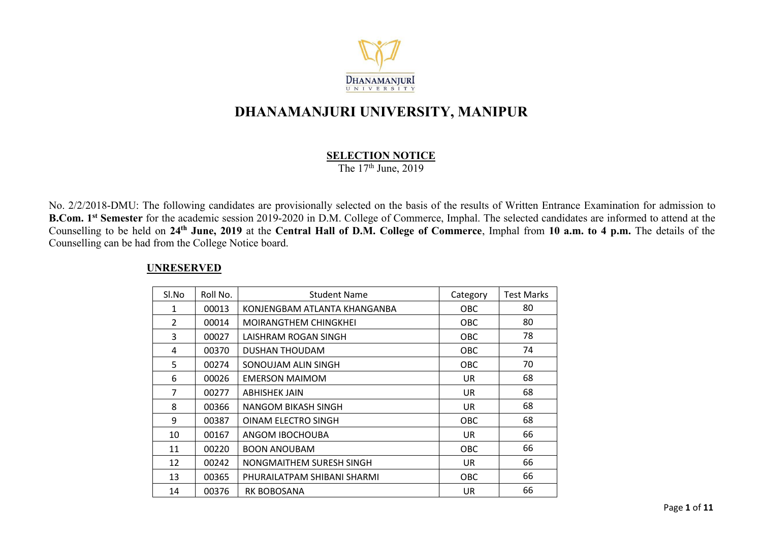

# **DHANAMANJURI UNIVERSITY, MANIPUR**

#### **SELECTION NOTICE**

The 17 th June, 2019

No. 2/2/2018-DMU: The following candidates are provisionally selected on the basis of the results of Written Entrance Examination for admission to **B.Com. 1 st Semester** for the academic session 2019-2020 in D.M. College of Commerce, Imphal. The selected candidates are informed to attend at the Counselling to be held on 24<sup>th</sup> June, 2019 at the Central Hall of D.M. College of Commerce, Imphal from 10 a.m. to 4 p.m. The details of the Counselling can be had from the College Notice board.

| SI.No          | Roll No. | <b>Student Name</b>          | Category | <b>Test Marks</b> |
|----------------|----------|------------------------------|----------|-------------------|
| 1              | 00013    | KONJENGBAM ATLANTA KHANGANBA | OBC.     | 80                |
| $\overline{2}$ | 00014    | <b>MOIRANGTHEM CHINGKHEI</b> | OBC.     | 80                |
| 3              | 00027    | LAISHRAM ROGAN SINGH         | OBC      | 78                |
| 4              | 00370    | DUSHAN THOUDAM               | OBC.     | 74                |
| 5              | 00274    | SONOUJAM ALIN SINGH          | OBC.     | 70                |
| 6              | 00026    | <b>EMERSON MAIMOM</b>        | UR       | 68                |
| 7              | 00277    | <b>ABHISHEK JAIN</b>         | UR       | 68                |
| 8              | 00366    | NANGOM BIKASH SINGH          | UR       | 68                |
| 9              | 00387    | OINAM ELECTRO SINGH          | OBC      | 68                |
| 10             | 00167    | ANGOM IBOCHOUBA              | UR.      | 66                |
| 11             | 00220    | <b>BOON ANOUBAM</b>          | OBC      | 66                |
| 12             | 00242    | NONGMAITHEM SURESH SINGH     | UR       | 66                |
| 13             | 00365    | PHURAILATPAM SHIBANI SHARMI  | OBC      | 66                |
| 14             | 00376    | <b>RK BOBOSANA</b>           | UR       | 66                |

#### **UNRESERVED**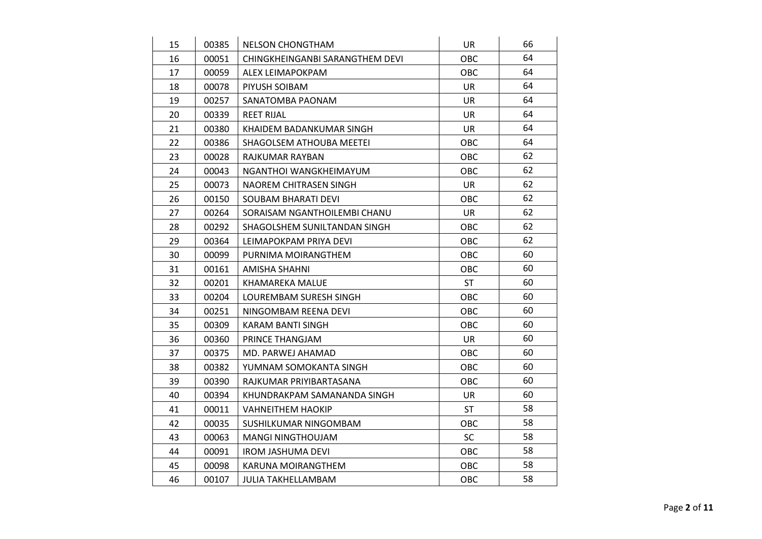| 15 | 00385 | <b>NELSON CHONGTHAM</b>         | UR         | 66 |  |
|----|-------|---------------------------------|------------|----|--|
| 16 | 00051 | CHINGKHEINGANBI SARANGTHEM DEVI | OBC        | 64 |  |
| 17 | 00059 | ALEX LEIMAPOKPAM                | OBC        | 64 |  |
| 18 | 00078 | PIYUSH SOIBAM                   | UR         | 64 |  |
| 19 | 00257 | SANATOMBA PAONAM                | UR         | 64 |  |
| 20 | 00339 | <b>REET RIJAL</b>               | <b>UR</b>  | 64 |  |
| 21 | 00380 | KHAIDEM BADANKUMAR SINGH        | UR         | 64 |  |
| 22 | 00386 | SHAGOLSEM ATHOUBA MEETEI        | OBC        | 64 |  |
| 23 | 00028 | RAJKUMAR RAYBAN                 | OBC        | 62 |  |
| 24 | 00043 | NGANTHOI WANGKHEIMAYUM          | <b>OBC</b> | 62 |  |
| 25 | 00073 | NAOREM CHITRASEN SINGH          | UR         | 62 |  |
| 26 | 00150 | SOUBAM BHARATI DEVI             | OBC        | 62 |  |
| 27 | 00264 | SORAISAM NGANTHOILEMBI CHANU    | UR         | 62 |  |
| 28 | 00292 | SHAGOLSHEM SUNILTANDAN SINGH    | <b>OBC</b> | 62 |  |
| 29 | 00364 | LEIMAPOKPAM PRIYA DEVI          | OBC        | 62 |  |
| 30 | 00099 | PURNIMA MOIRANGTHEM             | <b>OBC</b> | 60 |  |
| 31 | 00161 | <b>AMISHA SHAHNI</b>            | OBC        | 60 |  |
| 32 | 00201 | KHAMAREKA MALUE                 | <b>ST</b>  | 60 |  |
| 33 | 00204 | LOUREMBAM SURESH SINGH          | OBC        | 60 |  |
| 34 | 00251 | NINGOMBAM REENA DEVI            | OBC        | 60 |  |
| 35 | 00309 | KARAM BANTI SINGH               | OBC        | 60 |  |
| 36 | 00360 | PRINCE THANGJAM                 | UR         | 60 |  |
| 37 | 00375 | MD. PARWEJ AHAMAD               | OBC        | 60 |  |
| 38 | 00382 | YUMNAM SOMOKANTA SINGH          | OBC        | 60 |  |
| 39 | 00390 | RAJKUMAR PRIYIBARTASANA         | <b>OBC</b> | 60 |  |
| 40 | 00394 | KHUNDRAKPAM SAMANANDA SINGH     | UR         | 60 |  |
| 41 | 00011 | <b>VAHNEITHEM HAOKIP</b>        | <b>ST</b>  | 58 |  |
| 42 | 00035 | SUSHILKUMAR NINGOMBAM           | <b>OBC</b> | 58 |  |
| 43 | 00063 | <b>MANGI NINGTHOUJAM</b>        | <b>SC</b>  | 58 |  |
| 44 | 00091 | <b>IROM JASHUMA DEVI</b>        | OBC        | 58 |  |
| 45 | 00098 | KARUNA MOIRANGTHEM              | OBC        | 58 |  |
| 46 | 00107 | JULIA TAKHELLAMBAM              | OBC        | 58 |  |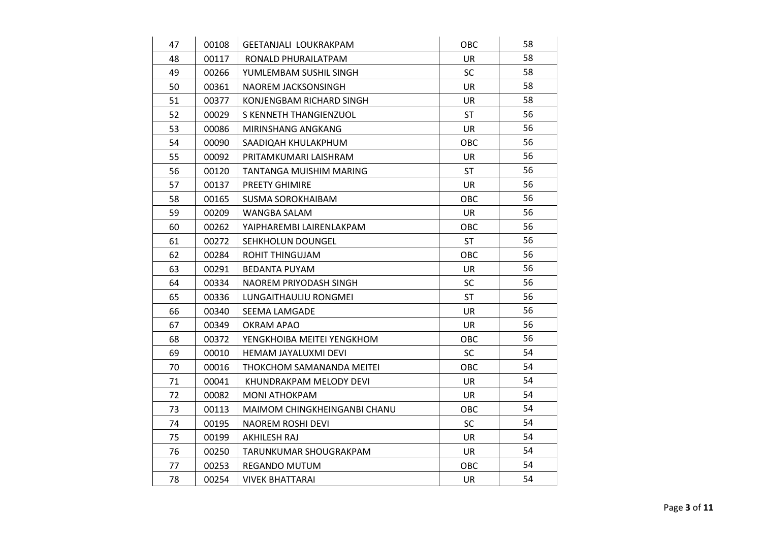| 47 | 00108 | GEETANJALI LOUKRAKPAM        | <b>OBC</b> | 58 |  |
|----|-------|------------------------------|------------|----|--|
| 48 | 00117 | RONALD PHURAILATPAM          | UR         | 58 |  |
| 49 | 00266 | YUMLEMBAM SUSHIL SINGH       | <b>SC</b>  | 58 |  |
| 50 | 00361 | NAOREM JACKSONSINGH          | UR         | 58 |  |
| 51 | 00377 | KONJENGBAM RICHARD SINGH     | UR         | 58 |  |
| 52 | 00029 | S KENNETH THANGIENZUOL       | <b>ST</b>  | 56 |  |
| 53 | 00086 | MIRINSHANG ANGKANG           | UR         | 56 |  |
| 54 | 00090 | SAADIQAH KHULAKPHUM          | <b>OBC</b> | 56 |  |
| 55 | 00092 | PRITAMKUMARI LAISHRAM        | UR         | 56 |  |
| 56 | 00120 | TANTANGA MUISHIM MARING      | <b>ST</b>  | 56 |  |
| 57 | 00137 | <b>PREETY GHIMIRE</b>        | UR         | 56 |  |
| 58 | 00165 | <b>SUSMA SOROKHAIBAM</b>     | <b>OBC</b> | 56 |  |
| 59 | 00209 | WANGBA SALAM                 | UR         | 56 |  |
| 60 | 00262 | YAIPHAREMBI LAIRENLAKPAM     | <b>OBC</b> | 56 |  |
| 61 | 00272 | SEHKHOLUN DOUNGEL            | <b>ST</b>  | 56 |  |
| 62 | 00284 | <b>ROHIT THINGUJAM</b>       | <b>OBC</b> | 56 |  |
| 63 | 00291 | <b>BEDANTA PUYAM</b>         | UR         | 56 |  |
| 64 | 00334 | NAOREM PRIYODASH SINGH       | <b>SC</b>  | 56 |  |
| 65 | 00336 | LUNGAITHAULIU RONGMEI        | <b>ST</b>  | 56 |  |
| 66 | 00340 | SEEMA LAMGADE                | UR         | 56 |  |
| 67 | 00349 | <b>OKRAM APAO</b>            | UR         | 56 |  |
| 68 | 00372 | YENGKHOIBA MEITEI YENGKHOM   | OBC        | 56 |  |
| 69 | 00010 | HEMAM JAYALUXMI DEVI         | <b>SC</b>  | 54 |  |
| 70 | 00016 | THOKCHOM SAMANANDA MEITEI    | <b>OBC</b> | 54 |  |
| 71 | 00041 | KHUNDRAKPAM MELODY DEVI      | UR         | 54 |  |
| 72 | 00082 | <b>MONI ATHOKPAM</b>         | UR         | 54 |  |
| 73 | 00113 | MAIMOM CHINGKHEINGANBI CHANU | <b>OBC</b> | 54 |  |
| 74 | 00195 | <b>NAOREM ROSHI DEVI</b>     | <b>SC</b>  | 54 |  |
| 75 | 00199 | AKHILESH RAJ                 | <b>UR</b>  | 54 |  |
| 76 | 00250 | TARUNKUMAR SHOUGRAKPAM       | <b>UR</b>  | 54 |  |
| 77 | 00253 | <b>REGANDO MUTUM</b>         | OBC        | 54 |  |
| 78 | 00254 | <b>VIVEK BHATTARAI</b>       | <b>UR</b>  | 54 |  |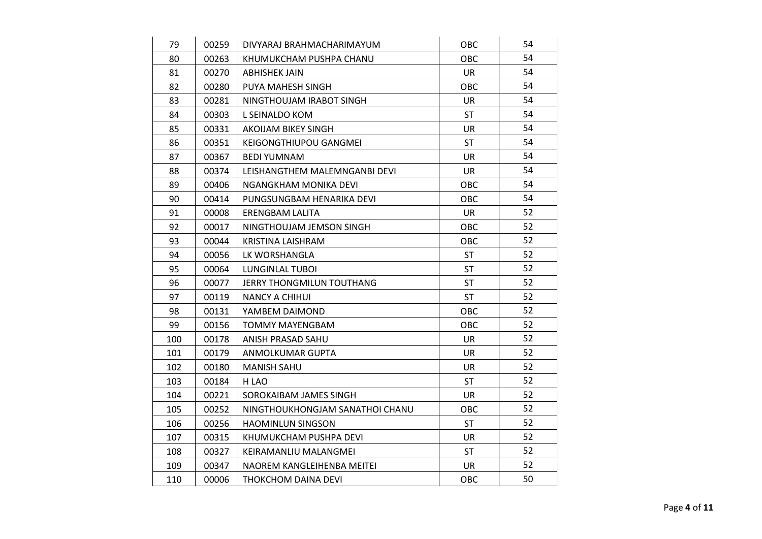| 79  | 00259 | DIVYARAJ BRAHMACHARIMAYUM       | <b>OBC</b> | 54 |  |
|-----|-------|---------------------------------|------------|----|--|
| 80  | 00263 | KHUMUKCHAM PUSHPA CHANU         | <b>OBC</b> | 54 |  |
| 81  | 00270 | <b>ABHISHEK JAIN</b>            | <b>UR</b>  | 54 |  |
| 82  | 00280 | PUYA MAHESH SINGH               | <b>OBC</b> | 54 |  |
| 83  | 00281 | NINGTHOUJAM IRABOT SINGH        | UR         | 54 |  |
| 84  | 00303 | L SEINALDO KOM                  | <b>ST</b>  | 54 |  |
| 85  | 00331 | AKOIJAM BIKEY SINGH             | UR         | 54 |  |
| 86  | 00351 | KEIGONGTHIUPOU GANGMEI          | <b>ST</b>  | 54 |  |
| 87  | 00367 | <b>BEDI YUMNAM</b>              | UR         | 54 |  |
| 88  | 00374 | LEISHANGTHEM MALEMNGANBI DEVI   | UR         | 54 |  |
| 89  | 00406 | NGANGKHAM MONIKA DEVI           | <b>OBC</b> | 54 |  |
| 90  | 00414 | PUNGSUNGBAM HENARIKA DEVI       | OBC        | 54 |  |
| 91  | 00008 | <b>ERENGBAM LALITA</b>          | UR         | 52 |  |
| 92  | 00017 | NINGTHOUJAM JEMSON SINGH        | OBC        | 52 |  |
| 93  | 00044 | <b>KRISTINA LAISHRAM</b>        | OBC        | 52 |  |
| 94  | 00056 | LK WORSHANGLA                   | ST         | 52 |  |
| 95  | 00064 | <b>LUNGINLAL TUBOI</b>          | <b>ST</b>  | 52 |  |
| 96  | 00077 | JERRY THONGMILUN TOUTHANG       | <b>ST</b>  | 52 |  |
| 97  | 00119 | <b>NANCY A CHIHUI</b>           | <b>ST</b>  | 52 |  |
| 98  | 00131 | YAMBEM DAIMOND                  | <b>OBC</b> | 52 |  |
| 99  | 00156 | <b>TOMMY MAYENGBAM</b>          | OBC        | 52 |  |
| 100 | 00178 | ANISH PRASAD SAHU               | UR         | 52 |  |
| 101 | 00179 | ANMOLKUMAR GUPTA                | UR         | 52 |  |
| 102 | 00180 | <b>MANISH SAHU</b>              | <b>UR</b>  | 52 |  |
| 103 | 00184 | H LAO                           | <b>ST</b>  | 52 |  |
| 104 | 00221 | SOROKAIBAM JAMES SINGH          | UR         | 52 |  |
| 105 | 00252 | NINGTHOUKHONGJAM SANATHOI CHANU | OBC        | 52 |  |
| 106 | 00256 | <b>HAOMINLUN SINGSON</b>        | ST         | 52 |  |
| 107 | 00315 | KHUMUKCHAM PUSHPA DEVI          | UR         | 52 |  |
| 108 | 00327 | KEIRAMANLIU MALANGMEI           | <b>ST</b>  | 52 |  |
| 109 | 00347 | NAOREM KANGLEIHENBA MEITEI      | UR         | 52 |  |
| 110 | 00006 | THOKCHOM DAINA DEVI             | <b>OBC</b> | 50 |  |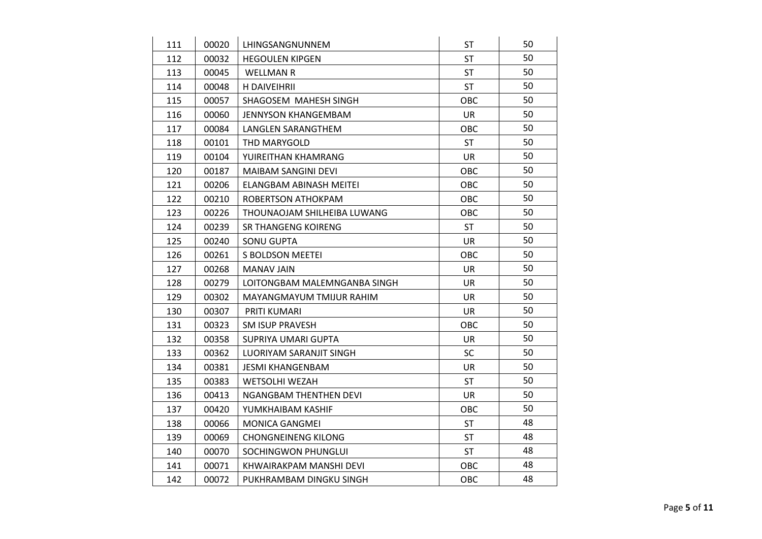| 111 | 00020 | LHINGSANGNUNNEM              | <b>ST</b>  | 50 |  |
|-----|-------|------------------------------|------------|----|--|
| 112 | 00032 | <b>HEGOULEN KIPGEN</b>       | <b>ST</b>  | 50 |  |
| 113 | 00045 | <b>WELLMAN R</b>             | <b>ST</b>  | 50 |  |
| 114 | 00048 | H DAIVEIHRII                 | <b>ST</b>  | 50 |  |
| 115 | 00057 | SHAGOSEM MAHESH SINGH        | <b>OBC</b> | 50 |  |
| 116 | 00060 | <b>JENNYSON KHANGEMBAM</b>   | <b>UR</b>  | 50 |  |
| 117 | 00084 | LANGLEN SARANGTHEM           | <b>OBC</b> | 50 |  |
| 118 | 00101 | THD MARYGOLD                 | <b>ST</b>  | 50 |  |
| 119 | 00104 | YUIREITHAN KHAMRANG          | UR         | 50 |  |
| 120 | 00187 | MAIBAM SANGINI DEVI          | <b>OBC</b> | 50 |  |
| 121 | 00206 | ELANGBAM ABINASH MEITEI      | OBC        | 50 |  |
| 122 | 00210 | ROBERTSON ATHOKPAM           | OBC        | 50 |  |
| 123 | 00226 | THOUNAOJAM SHILHEIBA LUWANG  | <b>OBC</b> | 50 |  |
| 124 | 00239 | SR THANGENG KOIRENG          | <b>ST</b>  | 50 |  |
| 125 | 00240 | <b>SONU GUPTA</b>            | <b>UR</b>  | 50 |  |
| 126 | 00261 | S BOLDSON MEETEI             | OBC        | 50 |  |
| 127 | 00268 | <b>MANAV JAIN</b>            | <b>UR</b>  | 50 |  |
| 128 | 00279 | LOITONGBAM MALEMNGANBA SINGH | <b>UR</b>  | 50 |  |
| 129 | 00302 | MAYANGMAYUM TMIJUR RAHIM     | UR         | 50 |  |
| 130 | 00307 | PRITI KUMARI                 | <b>UR</b>  | 50 |  |
| 131 | 00323 | <b>SM ISUP PRAVESH</b>       | OBC        | 50 |  |
| 132 | 00358 | SUPRIYA UMARI GUPTA          | UR         | 50 |  |
| 133 | 00362 | LUORIYAM SARANJIT SINGH      | <b>SC</b>  | 50 |  |
| 134 | 00381 | <b>JESMI KHANGENBAM</b>      | <b>UR</b>  | 50 |  |
| 135 | 00383 | WETSOLHI WEZAH               | <b>ST</b>  | 50 |  |
| 136 | 00413 | NGANGBAM THENTHEN DEVI       | <b>UR</b>  | 50 |  |
| 137 | 00420 | YUMKHAIBAM KASHIF            | OBC        | 50 |  |
| 138 | 00066 | <b>MONICA GANGMEI</b>        | <b>ST</b>  | 48 |  |
| 139 | 00069 | <b>CHONGNEINENG KILONG</b>   | <b>ST</b>  | 48 |  |
| 140 | 00070 | SOCHINGWON PHUNGLUI          | <b>ST</b>  | 48 |  |
| 141 | 00071 | KHWAIRAKPAM MANSHI DEVI      | OBC        | 48 |  |
| 142 | 00072 | PUKHRAMBAM DINGKU SINGH      | OBC        | 48 |  |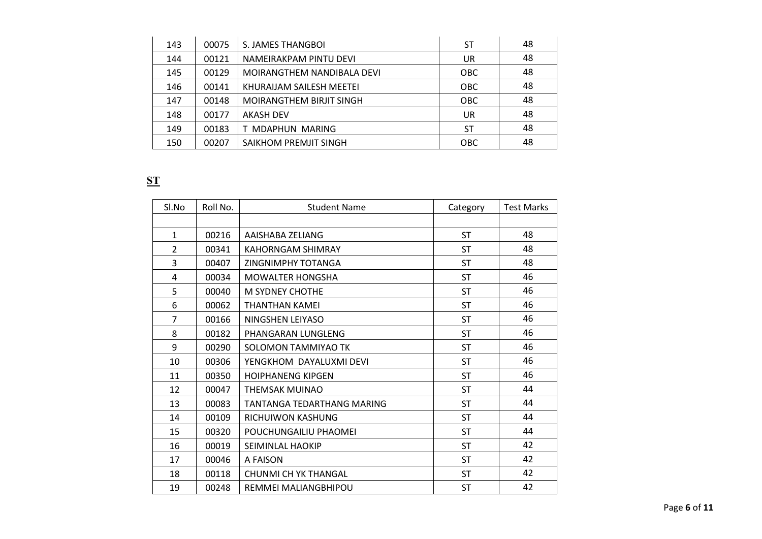| 143 | 00075 | S. JAMES THANGBOL          | ST         | 48 |
|-----|-------|----------------------------|------------|----|
| 144 | 00121 | NAMEIRAKPAM PINTU DEVI     | UR         | 48 |
| 145 | 00129 | MOIRANGTHEM NANDIBALA DEVI | <b>OBC</b> | 48 |
| 146 | 00141 | KHURAIJAM SAILESH MEETEI   | <b>OBC</b> | 48 |
| 147 | 00148 | MOIRANGTHEM BIRJIT SINGH   | <b>OBC</b> | 48 |
| 148 | 00177 | <b>AKASH DEV</b>           | UR         | 48 |
| 149 | 00183 | T MDAPHUN MARING           | <b>ST</b>  | 48 |
| 150 | 00207 | SAIKHOM PREMJIT SINGH      | <b>OBC</b> | 48 |
|     |       |                            |            |    |

## **ST**

| Sl.No          | Roll No. | <b>Student Name</b>         | Category  | <b>Test Marks</b> |
|----------------|----------|-----------------------------|-----------|-------------------|
|                |          |                             |           |                   |
| $\mathbf{1}$   | 00216    | AAISHABA ZELIANG            | <b>ST</b> | 48                |
| $\overline{2}$ | 00341    | <b>KAHORNGAM SHIMRAY</b>    | <b>ST</b> | 48                |
| 3              | 00407    | <b>ZINGNIMPHY TOTANGA</b>   | <b>ST</b> | 48                |
| 4              | 00034    | <b>MOWALTER HONGSHA</b>     | ST        | 46                |
| 5              | 00040    | <b>M SYDNEY CHOTHE</b>      | <b>ST</b> | 46                |
| 6              | 00062    | THANTHAN KAMEI              | <b>ST</b> | 46                |
| $\overline{7}$ | 00166    | NINGSHEN LEIYASO            | <b>ST</b> | 46                |
| 8              | 00182    | PHANGARAN LUNGLENG          | <b>ST</b> | 46                |
| 9              | 00290    | SOLOMON TAMMIYAO TK         | <b>ST</b> | 46                |
| 10             | 00306    | YENGKHOM DAYALUXMI DEVI     | <b>ST</b> | 46                |
| 11             | 00350    | <b>HOIPHANENG KIPGEN</b>    | <b>ST</b> | 46                |
| 12             | 00047    | THEMSAK MUINAO              | ST        | 44                |
| 13             | 00083    | TANTANGA TEDARTHANG MARING  | <b>ST</b> | 44                |
| 14             | 00109    | RICHUIWON KASHUNG           | <b>ST</b> | 44                |
| 15             | 00320    | POUCHUNGAILIU PHAOMEI       | <b>ST</b> | 44                |
| 16             | 00019    | SEIMINLAL HAOKIP            | <b>ST</b> | 42                |
| 17             | 00046    | A FAISON                    | ST        | 42                |
| 18             | 00118    | <b>CHUNMI CH YK THANGAL</b> | ST        | 42                |
| 19             | 00248    | REMMEI MALIANGBHIPOU        | <b>ST</b> | 42                |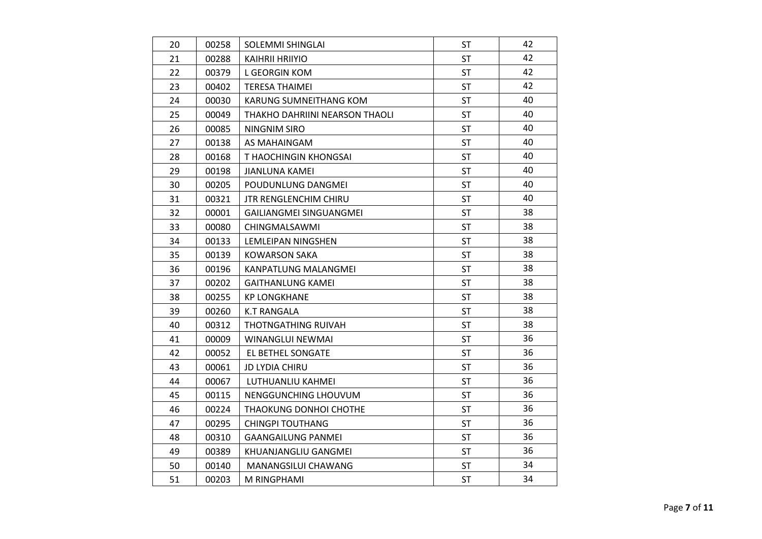| 20 | 00258 | SOLEMMI SHINGLAI               | <b>ST</b> | 42 |  |
|----|-------|--------------------------------|-----------|----|--|
| 21 | 00288 | <b>KAIHRII HRIIYIO</b>         | <b>ST</b> | 42 |  |
| 22 | 00379 | L GEORGIN KOM                  | <b>ST</b> | 42 |  |
| 23 | 00402 | <b>TERESA THAIMEI</b>          | <b>ST</b> | 42 |  |
| 24 | 00030 | KARUNG SUMNEITHANG KOM         | <b>ST</b> | 40 |  |
| 25 | 00049 | THAKHO DAHRIINI NEARSON THAOLI | <b>ST</b> | 40 |  |
| 26 | 00085 | NINGNIM SIRO                   | <b>ST</b> | 40 |  |
| 27 | 00138 | AS MAHAINGAM                   | <b>ST</b> | 40 |  |
| 28 | 00168 | T HAOCHINGIN KHONGSAI          | <b>ST</b> | 40 |  |
| 29 | 00198 | <b>JIANLUNA KAMEI</b>          | <b>ST</b> | 40 |  |
| 30 | 00205 | POUDUNLUNG DANGMEI             | <b>ST</b> | 40 |  |
| 31 | 00321 | <b>JTR RENGLENCHIM CHIRU</b>   | <b>ST</b> | 40 |  |
| 32 | 00001 | GAILIANGMEI SINGUANGMEI        | <b>ST</b> | 38 |  |
| 33 | 00080 | CHINGMALSAWMI                  | <b>ST</b> | 38 |  |
| 34 | 00133 | LEMLEIPAN NINGSHEN             | <b>ST</b> | 38 |  |
| 35 | 00139 | <b>KOWARSON SAKA</b>           | ST        | 38 |  |
| 36 | 00196 | <b>KANPATLUNG MALANGMEI</b>    | <b>ST</b> | 38 |  |
| 37 | 00202 | <b>GAITHANLUNG KAMEI</b>       | <b>ST</b> | 38 |  |
| 38 | 00255 | <b>KP LONGKHANE</b>            | ST        | 38 |  |
| 39 | 00260 | <b>K.T RANGALA</b>             | <b>ST</b> | 38 |  |
| 40 | 00312 | THOTNGATHING RUIVAH            | <b>ST</b> | 38 |  |
| 41 | 00009 | WINANGLUI NEWMAI               | <b>ST</b> | 36 |  |
| 42 | 00052 | EL BETHEL SONGATE              | <b>ST</b> | 36 |  |
| 43 | 00061 | <b>JD LYDIA CHIRU</b>          | <b>ST</b> | 36 |  |
| 44 | 00067 | LUTHUANLIU KAHMEI              | <b>ST</b> | 36 |  |
| 45 | 00115 | NENGGUNCHING LHOUVUM           | <b>ST</b> | 36 |  |
| 46 | 00224 | THAOKUNG DONHOI CHOTHE         | <b>ST</b> | 36 |  |
| 47 | 00295 | <b>CHINGPI TOUTHANG</b>        | ST        | 36 |  |
| 48 | 00310 | <b>GAANGAILUNG PANMEI</b>      | <b>ST</b> | 36 |  |
| 49 | 00389 | KHUANJANGLIU GANGMEI           | ST        | 36 |  |
| 50 | 00140 | MANANGSILUI CHAWANG            | ST        | 34 |  |
| 51 | 00203 | M RINGPHAMI                    | ST        | 34 |  |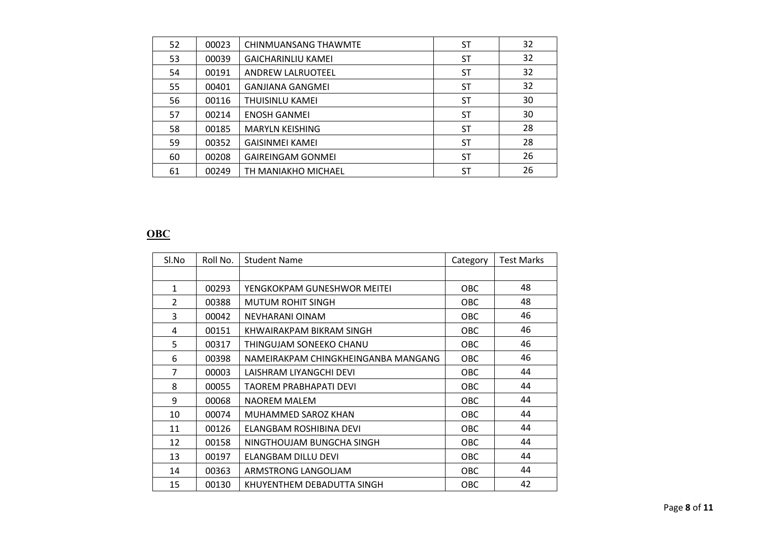| 52 | 00023 | CHINMUANSANG THAWMTE      | ST        | 32 |
|----|-------|---------------------------|-----------|----|
| 53 | 00039 | <b>GAICHARINLIU KAMEI</b> | ST        | 32 |
| 54 | 00191 | <b>ANDREW LALRUOTEEL</b>  | <b>ST</b> | 32 |
| 55 | 00401 | <b>GANJIANA GANGMEI</b>   | ST        | 32 |
| 56 | 00116 | THUISINLU KAMEI           | <b>ST</b> | 30 |
| 57 | 00214 | <b>ENOSH GANMEL</b>       | ST        | 30 |
| 58 | 00185 | <b>MARYLN KEISHING</b>    | <b>ST</b> | 28 |
| 59 | 00352 | <b>GAISINMEI KAMEI</b>    | <b>ST</b> | 28 |
| 60 | 00208 | <b>GAIREINGAM GONMEI</b>  | ST        | 26 |
| 61 | 00249 | TH MANIAKHO MICHAEL       | ST        | 26 |

## **OBC**

| Sl.No          | Roll No. | <b>Student Name</b>                 | Category   | <b>Test Marks</b> |
|----------------|----------|-------------------------------------|------------|-------------------|
|                |          |                                     |            |                   |
| 1              | 00293    | YENGKOKPAM GUNESHWOR MEITEI         | OBC.       | 48                |
| $\overline{2}$ | 00388    | <b>MUTUM ROHIT SINGH</b>            | <b>OBC</b> | 48                |
| 3              | 00042    | NEVHARANI OINAM                     | <b>OBC</b> | 46                |
| 4              | 00151    | KHWAIRAKPAM BIKRAM SINGH            | <b>OBC</b> | 46                |
| 5              | 00317    | THINGUJAM SONEEKO CHANU             | <b>OBC</b> | 46                |
| 6              | 00398    | NAMEIRAKPAM CHINGKHEINGANBA MANGANG | OBC.       | 46                |
| 7              | 00003    | LAISHRAM LIYANGCHI DEVI             | OBC        | 44                |
| 8              | 00055    | TAOREM PRABHAPATI DEVI              | <b>OBC</b> | 44                |
| 9              | 00068    | NAOREM MALEM                        | <b>OBC</b> | 44                |
| 10             | 00074    | MUHAMMED SAROZ KHAN                 | OBC.       | 44                |
| 11             | 00126    | ELANGBAM ROSHIBINA DEVI             | OBC.       | 44                |
| 12             | 00158    | NINGTHOUJAM BUNGCHA SINGH           | <b>OBC</b> | 44                |
| 13             | 00197    | ELANGBAM DILLU DEVI                 | <b>OBC</b> | 44                |
| 14             | 00363    | ARMSTRONG LANGOLJAM                 | OBC.       | 44                |
| 15             | 00130    | KHUYENTHEM DEBADUTTA SINGH          | OBC        | 42                |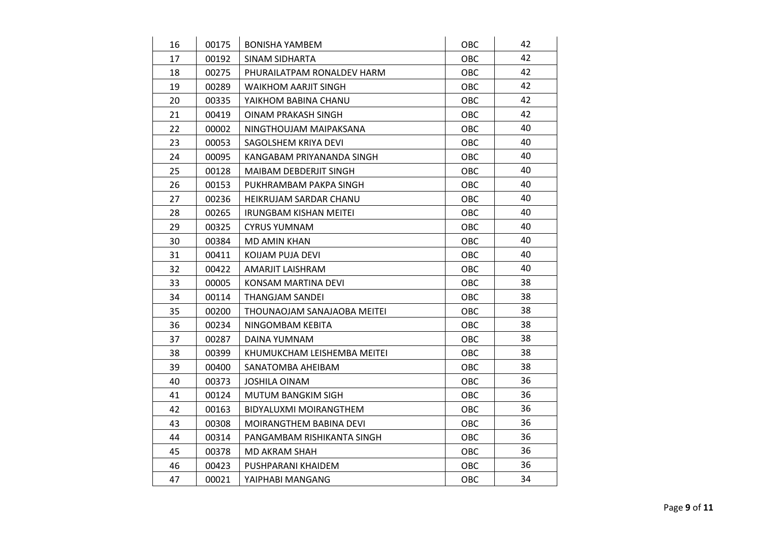| 16 | 00175 | <b>BONISHA YAMBEM</b>         | OBC        | 42 |  |
|----|-------|-------------------------------|------------|----|--|
| 17 | 00192 | SINAM SIDHARTA                | OBC        | 42 |  |
| 18 | 00275 | PHURAILATPAM RONALDEV HARM    | OBC        | 42 |  |
| 19 | 00289 | <b>WAIKHOM AARJIT SINGH</b>   | <b>OBC</b> | 42 |  |
| 20 | 00335 | YAIKHOM BABINA CHANU          | OBC        | 42 |  |
| 21 | 00419 | OINAM PRAKASH SINGH           | <b>OBC</b> | 42 |  |
| 22 | 00002 | NINGTHOUJAM MAIPAKSANA        | OBC        | 40 |  |
| 23 | 00053 | SAGOLSHEM KRIYA DEVI          | OBC        | 40 |  |
| 24 | 00095 | KANGABAM PRIYANANDA SINGH     | OBC        | 40 |  |
| 25 | 00128 | <b>MAIBAM DEBDERJIT SINGH</b> | OBC        | 40 |  |
| 26 | 00153 | PUKHRAMBAM PAKPA SINGH        | <b>OBC</b> | 40 |  |
| 27 | 00236 | HEIKRUJAM SARDAR CHANU        | OBC        | 40 |  |
| 28 | 00265 | <b>IRUNGBAM KISHAN MEITEI</b> | OBC        | 40 |  |
| 29 | 00325 | <b>CYRUS YUMNAM</b>           | OBC        | 40 |  |
| 30 | 00384 | <b>MD AMIN KHAN</b>           | OBC        | 40 |  |
| 31 | 00411 | KOIJAM PUJA DEVI              | <b>OBC</b> | 40 |  |
| 32 | 00422 | AMARJIT LAISHRAM              | OBC        | 40 |  |
| 33 | 00005 | KONSAM MARTINA DEVI           | OBC        | 38 |  |
| 34 | 00114 | <b>THANGJAM SANDEI</b>        | OBC        | 38 |  |
| 35 | 00200 | THOUNAOJAM SANAJAOBA MEITEI   | OBC        | 38 |  |
| 36 | 00234 | NINGOMBAM KEBITA              | OBC        | 38 |  |
| 37 | 00287 | DAINA YUMNAM                  | OBC        | 38 |  |
| 38 | 00399 | KHUMUKCHAM LEISHEMBA MEITEI   | OBC        | 38 |  |
| 39 | 00400 | SANATOMBA AHEIBAM             | OBC        | 38 |  |
| 40 | 00373 | <b>JOSHILA OINAM</b>          | OBC        | 36 |  |
| 41 | 00124 | <b>MUTUM BANGKIM SIGH</b>     | <b>OBC</b> | 36 |  |
| 42 | 00163 | BIDYALUXMI MOIRANGTHEM        | OBC        | 36 |  |
| 43 | 00308 | MOIRANGTHEM BABINA DEVI       | OBC        | 36 |  |
| 44 | 00314 | PANGAMBAM RISHIKANTA SINGH    | OBC        | 36 |  |
| 45 | 00378 | MD AKRAM SHAH                 | OBC        | 36 |  |
| 46 | 00423 | PUSHPARANI KHAIDEM            | OBC        | 36 |  |
| 47 | 00021 | YAIPHABI MANGANG              | OBC        | 34 |  |
|    |       |                               |            |    |  |
|    |       |                               |            |    |  |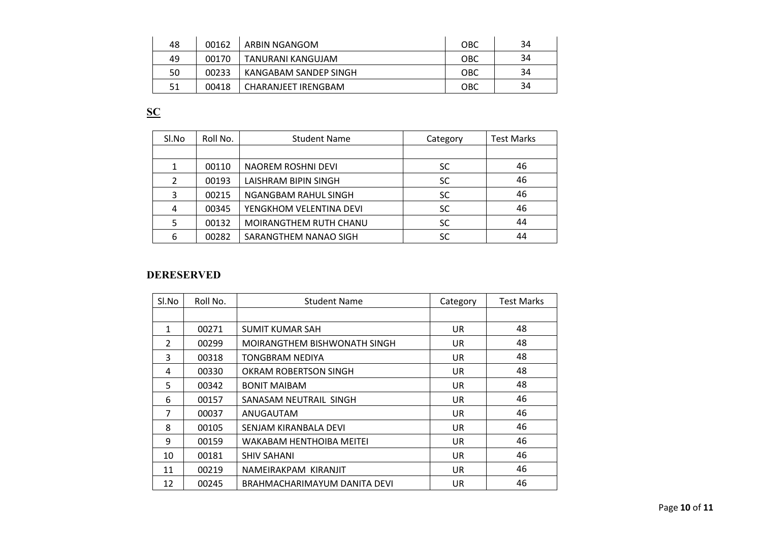| 48 | 00162 | ARBIN NGANGOM         | <b>OBC</b> | 34 |
|----|-------|-----------------------|------------|----|
| 49 | 00170 | TANURANI KANGUJAM     | <b>OBC</b> | 34 |
| 50 | 00233 | KANGABAM SANDEP SINGH | <b>OBC</b> | 34 |
| 51 | 00418 | CHARANJEET IRENGBAM   | OBC        | 34 |

**SC**

| Sl.No | Roll No. | <b>Student Name</b>     | Category  | <b>Test Marks</b> |
|-------|----------|-------------------------|-----------|-------------------|
|       |          |                         |           |                   |
|       | 00110    | NAOREM ROSHNI DEVI      | <b>SC</b> | 46                |
|       | 00193    | LAISHRAM BIPIN SINGH    | <b>SC</b> | 46                |
| 3     | 00215    | NGANGBAM RAHUL SINGH    | <b>SC</b> | 46                |
| 4     | 00345    | YENGKHOM VELENTINA DEVI | <b>SC</b> | 46                |
|       | 00132    | MOIRANGTHEM RUTH CHANU  | <b>SC</b> | 44                |
| 6     | 00282    | SARANGTHEM NANAO SIGH   | SC        | 44                |

### **DERESERVED**

| Sl.No          | Roll No. | <b>Student Name</b>          | Category  | <b>Test Marks</b> |
|----------------|----------|------------------------------|-----------|-------------------|
|                |          |                              |           |                   |
| $\mathbf{1}$   | 00271    | <b>SUMIT KUMAR SAH</b>       | <b>UR</b> | 48                |
| $\overline{2}$ | 00299    | MOIRANGTHEM BISHWONATH SINGH | UR.       | 48                |
| 3              | 00318    | TONGBRAM NEDIYA              | <b>UR</b> | 48                |
| 4              | 00330    | OKRAM ROBERTSON SINGH        | UR.       | 48                |
| 5              | 00342    | <b>BONIT MAIBAM</b>          | UR.       | 48                |
| 6              | 00157    | SANASAM NEUTRAIL SINGH       | UR.       | 46                |
| 7              | 00037    | ANUGAUTAM                    | <b>UR</b> | 46                |
| 8              | 00105    | SENJAM KIRANBALA DEVI        | <b>UR</b> | 46                |
| 9              | 00159    | WAKABAM HENTHOIBA MEITEI     | UR.       | 46                |
| 10             | 00181    | <b>SHIV SAHANI</b>           | <b>UR</b> | 46                |
| 11             | 00219    | NAMEIRAKPAM KIRANJIT         | UR.       | 46                |
| 12             | 00245    | BRAHMACHARIMAYUM DANITA DEVI | UR        | 46                |